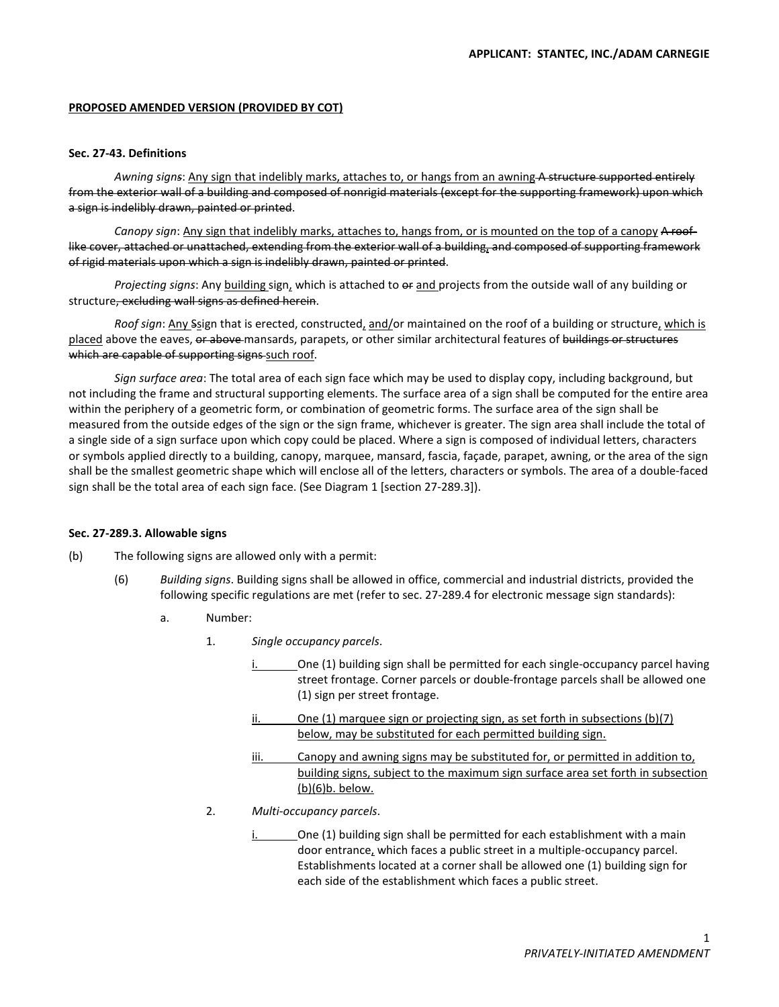# **PROPOSED AMENDED VERSION (PROVIDED BY COT)**

# **Sec. 27-43. Definitions**

*Awning signs*: Any sign that indelibly marks, attaches to, or hangs from an awning A structure supported entirely from the exterior wall of a building and composed of nonrigid materials (except for the supporting framework) upon which a sign is indelibly drawn, painted or printed.

*Canopy sign*: Any sign that indelibly marks, attaches to, hangs from, or is mounted on the top of a canopy A rooflike cover, attached or unattached, extending from the exterior wall of a building, and composed of supporting framework of rigid materials upon which a sign is indelibly drawn, painted or printed.

Projecting signs: Any building sign, which is attached to or and projects from the outside wall of any building or structure, excluding wall signs as defined herein.

*Roof sign*: Any Ssign that is erected, constructed, and/or maintained on the roof of a building or structure, which is placed above the eaves, or above mansards, parapets, or other similar architectural features of buildings or structures which are capable of supporting signs such roof.

*Sign surface area*: The total area of each sign face which may be used to display copy, including background, but not including the frame and structural supporting elements. The surface area of a sign shall be computed for the entire area within the periphery of a geometric form, or combination of geometric forms. The surface area of the sign shall be measured from the outside edges of the sign or the sign frame, whichever is greater. The sign area shall include the total of a single side of a sign surface upon which copy could be placed. Where a sign is composed of individual letters, characters or symbols applied directly to a building, canopy, marquee, mansard, fascia, façade, parapet, awning, or the area of the sign shall be the smallest geometric shape which will enclose all of the letters, characters or symbols. The area of a double-faced sign shall be the total area of each sign face. (See Diagram 1 [section 27-289.3]).

### **Sec. 27-289.3. Allowable signs**

- (b) The following signs are allowed only with a permit:
	- (6) *Building signs*. Building signs shall be allowed in office, commercial and industrial districts, provided the following specific regulations are met (refer to sec. 27-289.4 for electronic message sign standards):
		- a. Number:
			- 1. *Single occupancy parcels*.
				- i. One (1) building sign shall be permitted for each single-occupancy parcel having street frontage. Corner parcels or double-frontage parcels shall be allowed one (1) sign per street frontage.
					- $ii.$  One (1) marquee sign or projecting sign, as set forth in subsections (b)(7) below, may be substituted for each permitted building sign.
					- iii. Canopy and awning signs may be substituted for, or permitted in addition to, building signs, subject to the maximum sign surface area set forth in subsection (b)(6)b. below.
			- 2. *Multi-occupancy parcels*.
				- i. One (1) building sign shall be permitted for each establishment with a main door entrance, which faces a public street in a multiple-occupancy parcel. Establishments located at a corner shall be allowed one (1) building sign for each side of the establishment which faces a public street.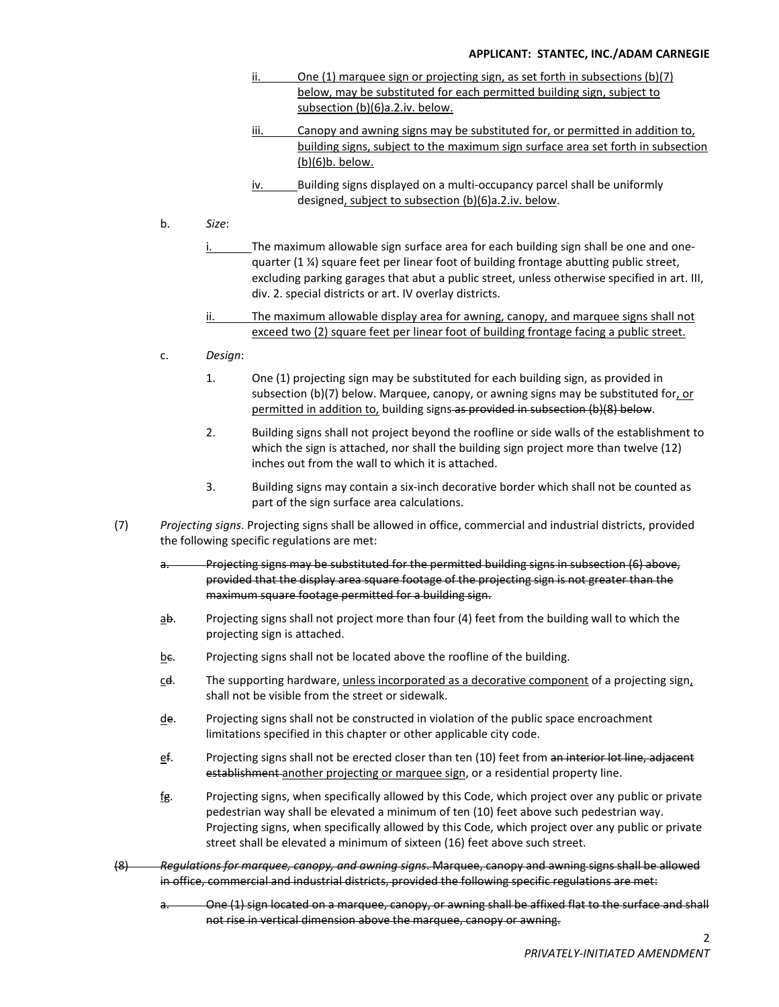# **APPLICANT: STANTEC, INC./ADAM CARNEGIE**

- ii. One (1) marquee sign or projecting sign, as set forth in subsections (b)(7) below, may be substituted for each permitted building sign, subject to subsection (b)(6)a.2.iv. below.
- iii. Canopy and awning signs may be substituted for, or permitted in addition to, building signs, subject to the maximum sign surface area set forth in subsection (b)(6)b. below.
- iv. Building signs displayed on a multi-occupancy parcel shall be uniformly designed, subject to subsection (b)(6)a.2.iv. below.
- b. *Size*:
	- i. The maximum allowable sign surface area for each building sign shall be one and onequarter  $(1 \nmid 4)$  square feet per linear foot of building frontage abutting public street, excluding parking garages that abut a public street, unless otherwise specified in art. III, div. 2. special districts or art. IV overlay districts.
	- ii. The maximum allowable display area for awning, canopy, and marquee signs shall not exceed two (2) square feet per linear foot of building frontage facing a public street.
- c. *Design*:
	- 1. One (1) projecting sign may be substituted for each building sign, as provided in subsection (b)(7) below. Marquee, canopy, or awning signs may be substituted for, or permitted in addition to, building signs as provided in subsection (b)(8) below.
	- 2. Building signs shall not project beyond the roofline or side walls of the establishment to which the sign is attached, nor shall the building sign project more than twelve (12) inches out from the wall to which it is attached.
	- 3. Building signs may contain a six-inch decorative border which shall not be counted as part of the sign surface area calculations.
- (7) *Projecting signs*. Projecting signs shall be allowed in office, commercial and industrial districts, provided the following specific regulations are met:
	- a. Projecting signs may be substituted for the permitted building signs in subsection (6) above, provided that the display area square footage of the projecting sign is not greater than the maximum square footage permitted for a building sign.
	- ab. Projecting signs shall not project more than four (4) feet from the building wall to which the projecting sign is attached.
	- be. Projecting signs shall not be located above the roofline of the building.
	- cd. The supporting hardware, unless incorporated as a decorative component of a projecting sign, shall not be visible from the street or sidewalk.
	- de. Projecting signs shall not be constructed in violation of the public space encroachment limitations specified in this chapter or other applicable city code.
	- ef. Projecting signs shall not be erected closer than ten (10) feet from an interior lot line, adjacent establishment another projecting or marquee sign, or a residential property line.
	- fg. Projecting signs, when specifically allowed by this Code, which project over any public or private pedestrian way shall be elevated a minimum of ten (10) feet above such pedestrian way. Projecting signs, when specifically allowed by this Code, which project over any public or private street shall be elevated a minimum of sixteen (16) feet above such street.
- (8) *Regulations for marquee, canopy, and awning signs*. Marquee, canopy and awning signs shall be allowed in office, commercial and industrial districts, provided the following specific regulations are met:
	- One (1) sign located on a marquee, canopy, or awning shall be affixed flat to the surface and shall not rise in vertical dimension above the marquee, canopy or awning.